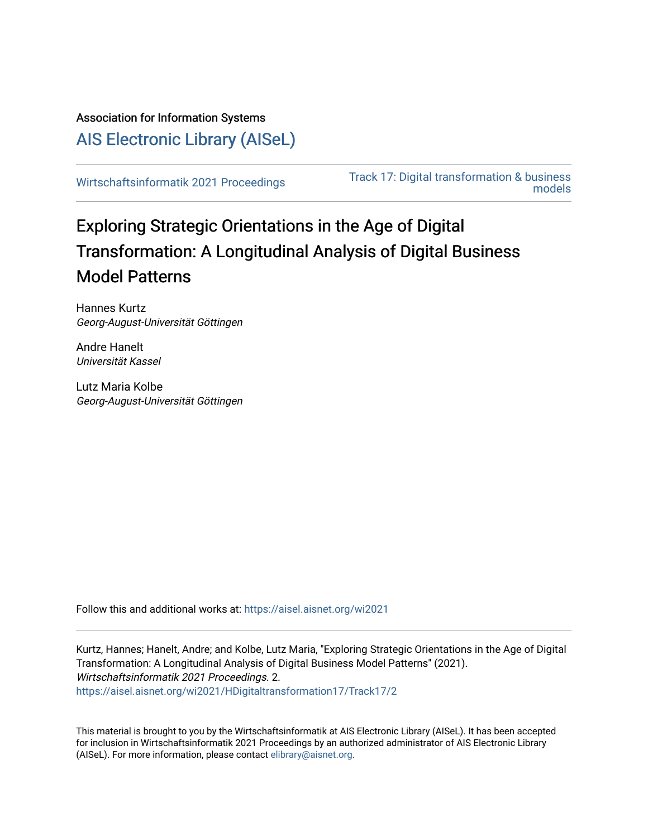Association for Information Systems

[AIS Electronic Library \(AISeL\)](https://aisel.aisnet.org/)

[Wirtschaftsinformatik 2021 Proceedings](https://aisel.aisnet.org/wi2021) Track 17: Digital transformation & business [models](https://aisel.aisnet.org/wi2021/HDigitaltransformation17) 

# Exploring Strategic Orientations in the Age of Digital Transformation: A Longitudinal Analysis of Digital Business Model Patterns

Hannes Kurtz Georg-August-Universität Göttingen

Andre Hanelt Universität Kassel

Lutz Maria Kolbe Georg-August-Universität Göttingen

Follow this and additional works at: [https://aisel.aisnet.org/wi2021](https://aisel.aisnet.org/wi2021?utm_source=aisel.aisnet.org%2Fwi2021%2FHDigitaltransformation17%2FTrack17%2F2&utm_medium=PDF&utm_campaign=PDFCoverPages) 

Kurtz, Hannes; Hanelt, Andre; and Kolbe, Lutz Maria, "Exploring Strategic Orientations in the Age of Digital Transformation: A Longitudinal Analysis of Digital Business Model Patterns" (2021). Wirtschaftsinformatik 2021 Proceedings. 2. [https://aisel.aisnet.org/wi2021/HDigitaltransformation17/Track17/2](https://aisel.aisnet.org/wi2021/HDigitaltransformation17/Track17/2?utm_source=aisel.aisnet.org%2Fwi2021%2FHDigitaltransformation17%2FTrack17%2F2&utm_medium=PDF&utm_campaign=PDFCoverPages)

This material is brought to you by the Wirtschaftsinformatik at AIS Electronic Library (AISeL). It has been accepted for inclusion in Wirtschaftsinformatik 2021 Proceedings by an authorized administrator of AIS Electronic Library (AISeL). For more information, please contact [elibrary@aisnet.org](mailto:elibrary@aisnet.org%3E).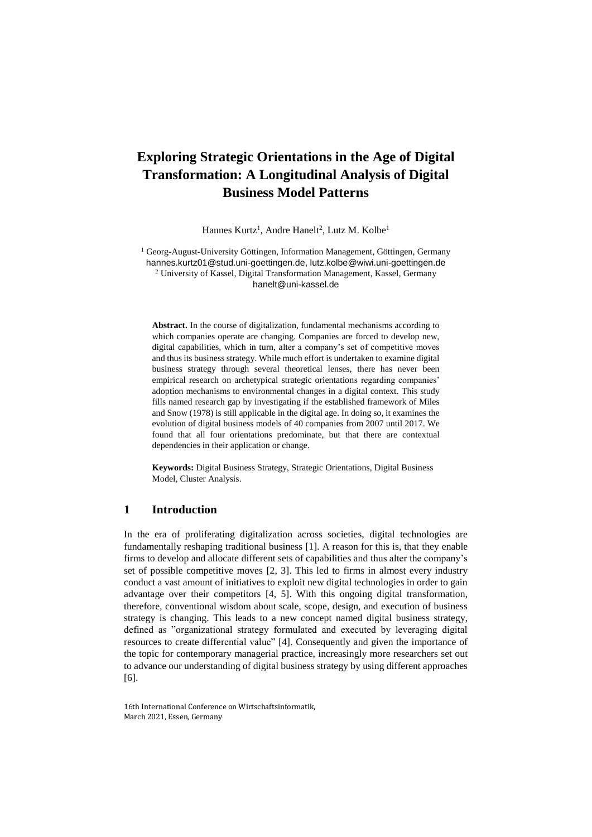# **Exploring Strategic Orientations in the Age of Digital Transformation: A Longitudinal Analysis of Digital Business Model Patterns**

Hannes Kurtz<sup>1</sup>, Andre Hanelt<sup>2</sup>, Lutz M. Kolbe<sup>1</sup>

 $1$  Georg-August-University Göttingen, Information Management, Göttingen, Germany [hannes.kurtz01@stud.uni-goettingen.de,](mailto:hannes.kurtz01@stud.uni-goettingen.de) lutz.kolbe@wiwi.uni-goettingen.de <sup>2</sup> University of Kassel, Digital Transformation Management, Kassel, Germany hanelt@uni-kassel.de

**Abstract.** In the course of digitalization, fundamental mechanisms according to which companies operate are changing. Companies are forced to develop new, digital capabilities, which in turn, alter a company's set of competitive moves and thus its business strategy. While much effort is undertaken to examine digital business strategy through several theoretical lenses, there has never been empirical research on archetypical strategic orientations regarding companies' adoption mechanisms to environmental changes in a digital context. This study fills named research gap by investigating if the established framework of Miles and Snow (1978) is still applicable in the digital age. In doing so, it examines the evolution of digital business models of 40 companies from 2007 until 2017. We found that all four orientations predominate, but that there are contextual dependencies in their application or change.

**Keywords:** Digital Business Strategy, Strategic Orientations, Digital Business Model, Cluster Analysis.

# **1 Introduction**

In the era of proliferating digitalization across societies, digital technologies are fundamentally reshaping traditional business [1]. A reason for this is, that they enable firms to develop and allocate different sets of capabilities and thus alter the company's set of possible competitive moves [2, 3]. This led to firms in almost every industry conduct a vast amount of initiatives to exploit new digital technologies in order to gain advantage over their competitors [4, 5]. With this ongoing digital transformation, therefore, conventional wisdom about scale, scope, design, and execution of business strategy is changing. This leads to a new concept named digital business strategy, defined as "organizational strategy formulated and executed by leveraging digital resources to create differential value" [4]. Consequently and given the importance of the topic for contemporary managerial practice, increasingly more researchers set out to advance our understanding of digital business strategy by using different approaches [6].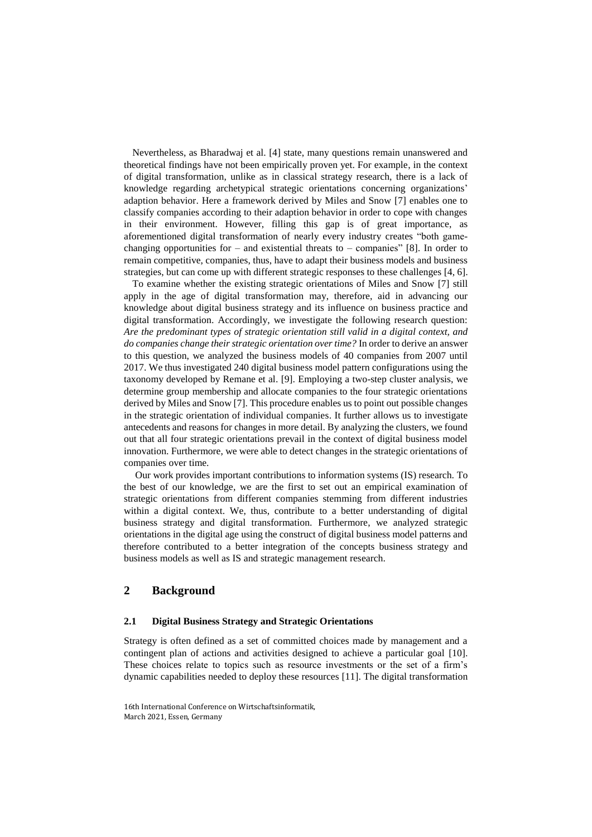Nevertheless, as Bharadwaj et al. [4] state, many questions remain unanswered and theoretical findings have not been empirically proven yet. For example, in the context of digital transformation, unlike as in classical strategy research, there is a lack of knowledge regarding archetypical strategic orientations concerning organizations' adaption behavior. Here a framework derived by Miles and Snow [7] enables one to classify companies according to their adaption behavior in order to cope with changes in their environment. However, filling this gap is of great importance, as aforementioned digital transformation of nearly every industry creates "both gamechanging opportunities for – and existential threats to – companies" [8]. In order to remain competitive, companies, thus, have to adapt their business models and business strategies, but can come up with different strategic responses to these challenges [4, 6].

To examine whether the existing strategic orientations of Miles and Snow [7] still apply in the age of digital transformation may, therefore, aid in advancing our knowledge about digital business strategy and its influence on business practice and digital transformation. Accordingly, we investigate the following research question: *Are the predominant types of strategic orientation still valid in a digital context, and do companies change their strategic orientation over time?* In order to derive an answer to this question, we analyzed the business models of 40 companies from 2007 until 2017. We thus investigated 240 digital business model pattern configurations using the taxonomy developed by Remane et al. [9]. Employing a two-step cluster analysis, we determine group membership and allocate companies to the four strategic orientations derived by Miles and Snow [7]. This procedure enables us to point out possible changes in the strategic orientation of individual companies. It further allows us to investigate antecedents and reasons for changes in more detail. By analyzing the clusters, we found out that all four strategic orientations prevail in the context of digital business model innovation. Furthermore, we were able to detect changes in the strategic orientations of companies over time.

Our work provides important contributions to information systems (IS) research. To the best of our knowledge, we are the first to set out an empirical examination of strategic orientations from different companies stemming from different industries within a digital context. We, thus, contribute to a better understanding of digital business strategy and digital transformation. Furthermore, we analyzed strategic orientations in the digital age using the construct of digital business model patterns and therefore contributed to a better integration of the concepts business strategy and business models as well as IS and strategic management research.

# **2 Background**

#### **2.1 Digital Business Strategy and Strategic Orientations**

Strategy is often defined as a set of committed choices made by management and a contingent plan of actions and activities designed to achieve a particular goal [10]. These choices relate to topics such as resource investments or the set of a firm's dynamic capabilities needed to deploy these resources [11]. The digital transformation

<sup>16</sup>th International Conference on Wirtschaftsinformatik, March 2021, Essen, Germany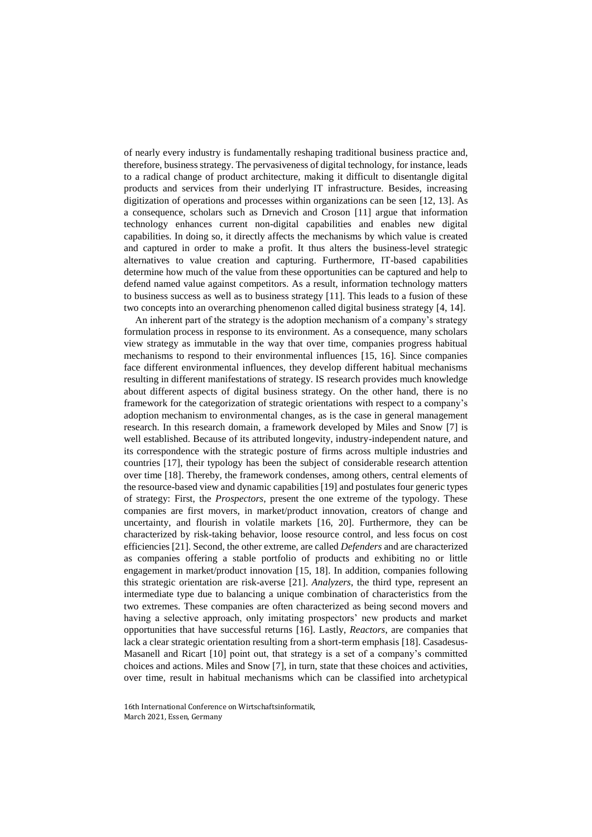of nearly every industry is fundamentally reshaping traditional business practice and, therefore, business strategy. The pervasiveness of digital technology, for instance, leads to a radical change of product architecture, making it difficult to disentangle digital products and services from their underlying IT infrastructure. Besides, increasing digitization of operations and processes within organizations can be seen [12, 13]. As a consequence, scholars such as Drnevich and Croson [11] argue that information technology enhances current non-digital capabilities and enables new digital capabilities. In doing so, it directly affects the mechanisms by which value is created and captured in order to make a profit. It thus alters the business-level strategic alternatives to value creation and capturing. Furthermore, IT-based capabilities determine how much of the value from these opportunities can be captured and help to defend named value against competitors. As a result, information technology matters to business success as well as to business strategy [11]. This leads to a fusion of these two concepts into an overarching phenomenon called digital business strategy [4, 14].

An inherent part of the strategy is the adoption mechanism of a company's strategy formulation process in response to its environment. As a consequence, many scholars view strategy as immutable in the way that over time, companies progress habitual mechanisms to respond to their environmental influences [15, 16]. Since companies face different environmental influences, they develop different habitual mechanisms resulting in different manifestations of strategy. IS research provides much knowledge about different aspects of digital business strategy. On the other hand, there is no framework for the categorization of strategic orientations with respect to a company's adoption mechanism to environmental changes, as is the case in general management research. In this research domain, a framework developed by Miles and Snow [7] is well established. Because of its attributed longevity, industry-independent nature, and its correspondence with the strategic posture of firms across multiple industries and countries [17], their typology has been the subject of considerable research attention over time [18]. Thereby, the framework condenses, among others, central elements of the resource-based view and dynamic capabilities [19] and postulates four generic types of strategy: First, the *Prospectors*, present the one extreme of the typology. These companies are first movers, in market/product innovation, creators of change and uncertainty, and flourish in volatile markets [16, 20]. Furthermore, they can be characterized by risk-taking behavior, loose resource control, and less focus on cost efficiencies [21]. Second, the other extreme, are called *Defenders* and are characterized as companies offering a stable portfolio of products and exhibiting no or little engagement in market/product innovation [15, 18]. In addition, companies following this strategic orientation are risk-averse [21]. *Analyzers*, the third type, represent an intermediate type due to balancing a unique combination of characteristics from the two extremes. These companies are often characterized as being second movers and having a selective approach, only imitating prospectors' new products and market opportunities that have successful returns [16]. Lastly, *Reactors*, are companies that lack a clear strategic orientation resulting from a short-term emphasis [18]. Casadesus-Masanell and Ricart [10] point out, that strategy is a set of a company's committed choices and actions. Miles and Snow [7], in turn, state that these choices and activities, over time, result in habitual mechanisms which can be classified into archetypical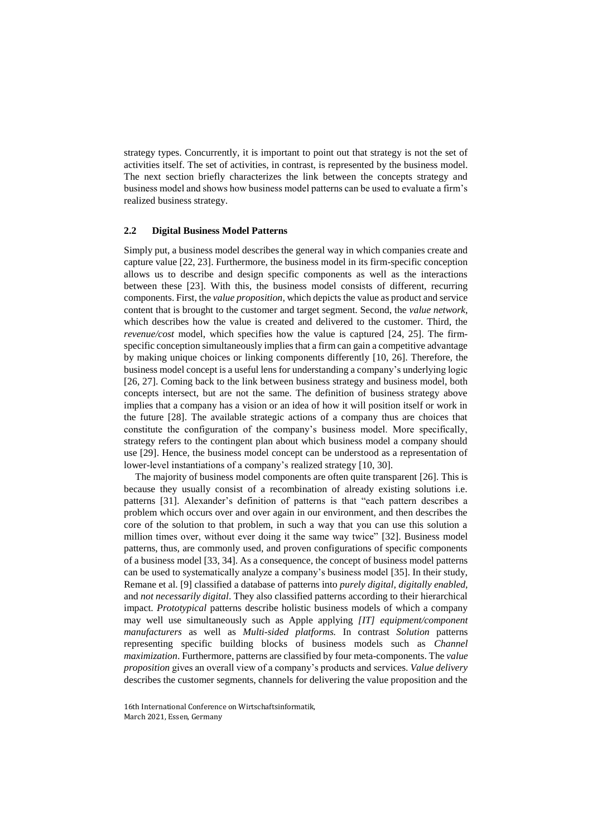strategy types. Concurrently, it is important to point out that strategy is not the set of activities itself. The set of activities, in contrast, is represented by the business model. The next section briefly characterizes the link between the concepts strategy and business model and shows how business model patterns can be used to evaluate a firm's realized business strategy.

#### **2.2 Digital Business Model Patterns**

Simply put, a business model describes the general way in which companies create and capture value [22, 23]. Furthermore, the business model in its firm-specific conception allows us to describe and design specific components as well as the interactions between these [23]. With this, the business model consists of different, recurring components. First, the *value proposition*, which depicts the value as product and service content that is brought to the customer and target segment. Second, the *value network*, which describes how the value is created and delivered to the customer. Third, the *revenue/cost* model, which specifies how the value is captured [24, 25]. The firmspecific conception simultaneously implies that a firm can gain a competitive advantage by making unique choices or linking components differently [10, 26]. Therefore, the business model concept is a useful lens for understanding a company's underlying logic [26, 27]. Coming back to the link between business strategy and business model, both concepts intersect, but are not the same. The definition of business strategy above implies that a company has a vision or an idea of how it will position itself or work in the future [28]. The available strategic actions of a company thus are choices that constitute the configuration of the company's business model. More specifically, strategy refers to the contingent plan about which business model a company should use [29]. Hence, the business model concept can be understood as a representation of lower-level instantiations of a company's realized strategy [10, 30].

The majority of business model components are often quite transparent [26]. This is because they usually consist of a recombination of already existing solutions i.e. patterns [31]. Alexander's definition of patterns is that "each pattern describes a problem which occurs over and over again in our environment, and then describes the core of the solution to that problem, in such a way that you can use this solution a million times over, without ever doing it the same way twice" [32]. Business model patterns, thus, are commonly used, and proven configurations of specific components of a business model [33, 34]. As a consequence, the concept of business model patterns can be used to systematically analyze a company's business model [35]. In their study, Remane et al. [9] classified a database of patterns into *purely digital*, *digitally enabled,* and *not necessarily digital*. They also classified patterns according to their hierarchical impact. *Prototypical* patterns describe holistic business models of which a company may well use simultaneously such as Apple applying *[IT] equipment/component manufacturers* as well as *Multi-sided platforms.* In contrast *Solution* patterns representing specific building blocks of business models such as *Channel maximization*. Furthermore, patterns are classified by four meta-components. The *value proposition* gives an overall view of a company's products and services. *Value delivery* describes the customer segments, channels for delivering the value proposition and the

<sup>16</sup>th International Conference on Wirtschaftsinformatik, March 2021, Essen, Germany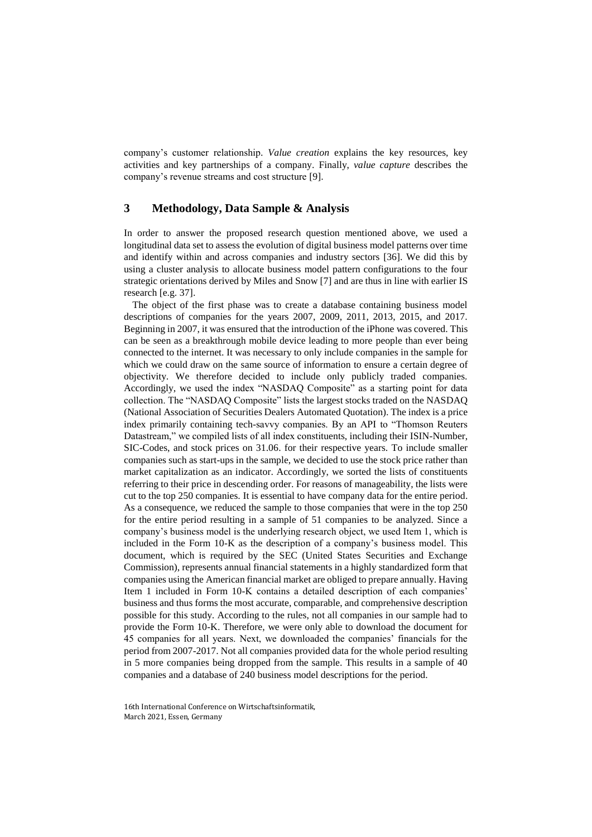company's customer relationship. *Value creation* explains the key resources, key activities and key partnerships of a company. Finally, *value capture* describes the company's revenue streams and cost structure [9].

# **3 Methodology, Data Sample & Analysis**

In order to answer the proposed research question mentioned above, we used a longitudinal data set to assess the evolution of digital business model patterns over time and identify within and across companies and industry sectors [36]. We did this by using a cluster analysis to allocate business model pattern configurations to the four strategic orientations derived by Miles and Snow [7] and are thus in line with earlier IS research [e.g. 37].

The object of the first phase was to create a database containing business model descriptions of companies for the years 2007, 2009, 2011, 2013, 2015, and 2017. Beginning in 2007, it was ensured that the introduction of the iPhone was covered. This can be seen as a breakthrough mobile device leading to more people than ever being connected to the internet. It was necessary to only include companies in the sample for which we could draw on the same source of information to ensure a certain degree of objectivity. We therefore decided to include only publicly traded companies. Accordingly, we used the index "NASDAQ Composite" as a starting point for data collection. The "NASDAQ Composite" lists the largest stocks traded on the NASDAQ (National Association of Securities Dealers Automated Quotation). The index is a price index primarily containing tech-savvy companies. By an API to "Thomson Reuters Datastream," we compiled lists of all index constituents, including their ISIN-Number, SIC-Codes, and stock prices on 31.06. for their respective years. To include smaller companies such as start-ups in the sample, we decided to use the stock price rather than market capitalization as an indicator. Accordingly, we sorted the lists of constituents referring to their price in descending order. For reasons of manageability, the lists were cut to the top 250 companies. It is essential to have company data for the entire period. As a consequence, we reduced the sample to those companies that were in the top 250 for the entire period resulting in a sample of 51 companies to be analyzed. Since a company's business model is the underlying research object, we used Item 1, which is included in the Form 10-K as the description of a company's business model. This document, which is required by the SEC (United States Securities and Exchange Commission), represents annual financial statements in a highly standardized form that companies using the American financial market are obliged to prepare annually. Having Item 1 included in Form 10-K contains a detailed description of each companies' business and thus forms the most accurate, comparable, and comprehensive description possible for this study. According to the rules, not all companies in our sample had to provide the Form 10-K. Therefore, we were only able to download the document for 45 companies for all years. Next, we downloaded the companies' financials for the period from 2007-2017. Not all companies provided data for the whole period resulting in 5 more companies being dropped from the sample. This results in a sample of 40 companies and a database of 240 business model descriptions for the period.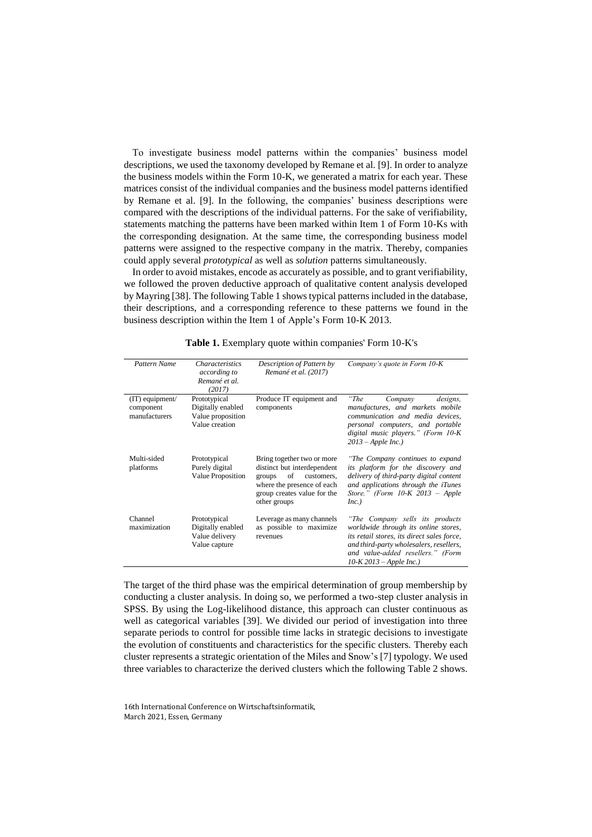To investigate business model patterns within the companies' business model descriptions, we used the taxonomy developed by Remane et al. [9]. In order to analyze the business models within the Form 10-K, we generated a matrix for each year. These matrices consist of the individual companies and the business model patterns identified by Remane et al. [9]. In the following, the companies' business descriptions were compared with the descriptions of the individual patterns. For the sake of verifiability, statements matching the patterns have been marked within Item 1 of Form 10-Ks with the corresponding designation. At the same time, the corresponding business model patterns were assigned to the respective company in the matrix. Thereby, companies could apply several *prototypical* as well as *solution* patterns simultaneously.

In order to avoid mistakes, encode as accurately as possible, and to grant verifiability, we followed the proven deductive approach of qualitative content analysis developed by Mayring [38]. The following Table 1 shows typical patternsincluded in the database, their descriptions, and a corresponding reference to these patterns we found in the business description within the Item 1 of Apple's Form 10-K 2013.

| Pattern Name                                    | <i>Characteristics</i><br>according to<br>Remané et al.<br>(2017)        | Description of Pattern by<br>Remané et al. (2017)                                                                                                                    | Company's quote in Form 10-K                                                                                                                                                                                                         |
|-------------------------------------------------|--------------------------------------------------------------------------|----------------------------------------------------------------------------------------------------------------------------------------------------------------------|--------------------------------------------------------------------------------------------------------------------------------------------------------------------------------------------------------------------------------------|
| $(TT)$ equipment/<br>component<br>manufacturers | Prototypical<br>Digitally enabled<br>Value proposition<br>Value creation | Produce IT equipment and<br>components                                                                                                                               | "The<br>designs,<br>Company<br>manufactures, and markets mobile<br>communication and media devices,<br>personal computers, and portable<br>digital music players." (Form 10-K<br>$2013 - Apple Inc.)$                                |
| Multi-sided<br>platforms                        | Prototypical<br>Purely digital<br><b>Value Proposition</b>               | Bring together two or more<br>distinct but interdependent<br>of<br>groups<br>customers,<br>where the presence of each<br>group creates value for the<br>other groups | "The Company continues to expand<br>its platform for the discovery and<br>delivery of third-party digital content<br>and applications through the iTunes<br>Store." (Form $10-K$ 2013 – Apple<br>Inc.)                               |
| Channel<br>maximization                         | Prototypical<br>Digitally enabled<br>Value delivery<br>Value capture     | Leverage as many channels<br>as possible to maximize<br>revenues                                                                                                     | "The Company sells its products"<br>worldwide through its online stores,<br>its retail stores, its direct sales force,<br>and third-party wholesalers, resellers,<br>and value-added resellers." (Form<br>$10-K 2013 - Apple Inc.$ ) |

**Table 1.** Exemplary quote within companies' Form 10-K's

The target of the third phase was the empirical determination of group membership by conducting a cluster analysis. In doing so, we performed a two-step cluster analysis in SPSS. By using the Log-likelihood distance, this approach can cluster continuous as well as categorical variables [39]. We divided our period of investigation into three separate periods to control for possible time lacks in strategic decisions to investigate the evolution of constituents and characteristics for the specific clusters. Thereby each cluster represents a strategic orientation of the Miles and Snow's [7] typology. We used three variables to characterize the derived clusters which the following Table 2 shows.

<sup>16</sup>th International Conference on Wirtschaftsinformatik, March 2021, Essen, Germany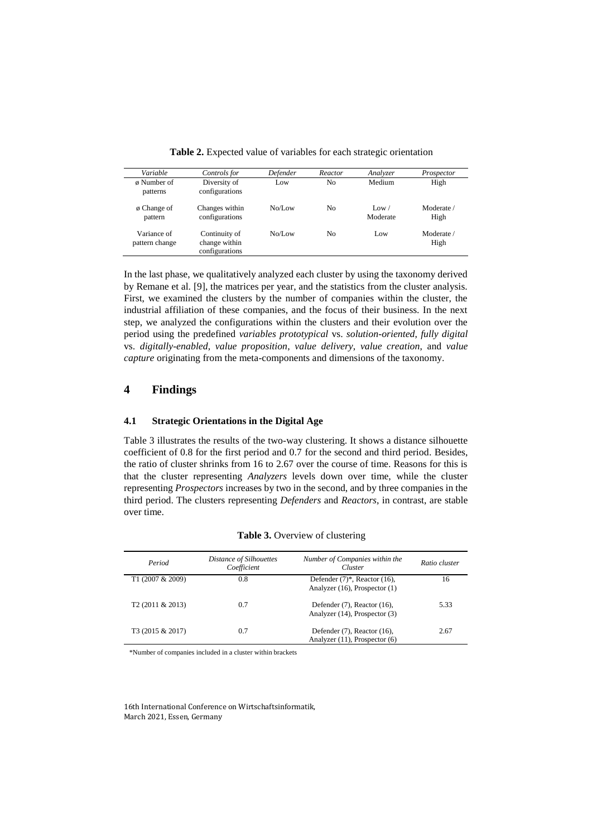| Variable                      | Controls for                                     | Defender | Reactor | Analyzer          | Prospector         |
|-------------------------------|--------------------------------------------------|----------|---------|-------------------|--------------------|
| ø Number of<br>patterns       | Diversity of<br>configurations                   | Low      | No      | Medium            | High               |
| ø Change of<br>pattern        | Changes within<br>configurations                 | No/Low   | No      | Low /<br>Moderate | Moderate /<br>High |
| Variance of<br>pattern change | Continuity of<br>change within<br>configurations | No/Low   | No      | Low               | Moderate /<br>High |

**Table 2.** Expected value of variables for each strategic orientation

In the last phase, we qualitatively analyzed each cluster by using the taxonomy derived by Remane et al. [9], the matrices per year, and the statistics from the cluster analysis. First, we examined the clusters by the number of companies within the cluster, the industrial affiliation of these companies, and the focus of their business. In the next step, we analyzed the configurations within the clusters and their evolution over the period using the predefined *variables prototypical* vs. *solution-oriented*, *fully digital* vs. *digitally-enabled*, *value proposition*, *value delivery*, *value creation*, and *value capture* originating from the meta-components and dimensions of the taxonomy.

# **4 Findings**

#### **4.1 Strategic Orientations in the Digital Age**

Table 3 illustrates the results of the two-way clustering. It shows a distance silhouette coefficient of 0.8 for the first period and 0.7 for the second and third period. Besides, the ratio of cluster shrinks from 16 to 2.67 over the course of time. Reasons for this is that the cluster representing *Analyzers* levels down over time, while the cluster representing *Prospectors* increases by two in the second, and by three companies in the third period. The clusters representing *Defenders* and *Reactors*, in contrast, are stable over time.

| Period                       | Distance of Silhouettes<br>Coefficient | Number of Companies within the<br>Cluster                            | Ratio cluster |
|------------------------------|----------------------------------------|----------------------------------------------------------------------|---------------|
| T1 (2007 & 2009)             | 0.8                                    | Defender $(7)^*$ , Reactor $(16)$ ,<br>Analyzer (16), Prospector (1) | 16            |
| $T2(2011 \& 2013)$           | 0.7                                    | Defender $(7)$ , Reactor $(16)$ ,<br>Analyzer (14), Prospector (3)   | 5.33          |
| T <sub>3</sub> (2015 & 2017) | 0.7                                    | Defender $(7)$ , Reactor $(16)$ ,<br>Analyzer (11), Prospector (6)   | 2.67          |
|                              |                                        |                                                                      |               |

\*Number of companies included in a cluster within brackets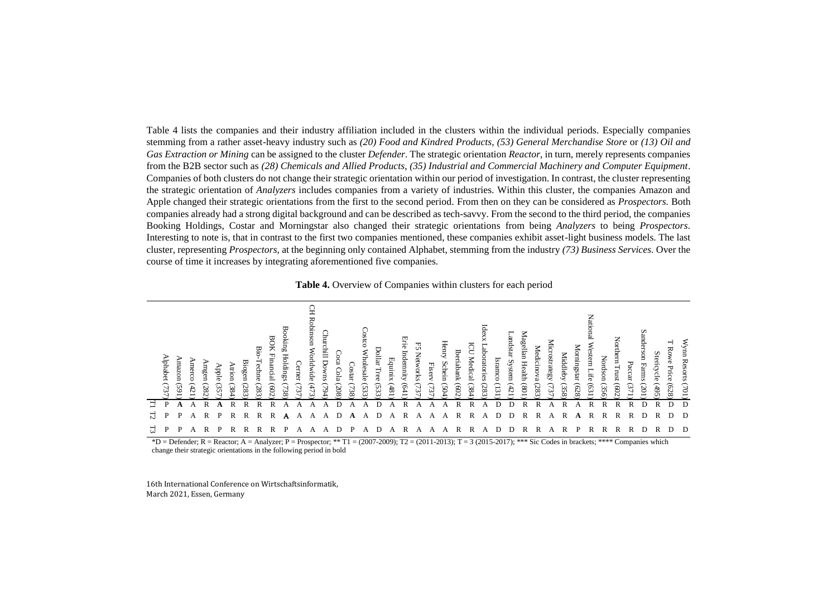Table 4 lists the companies and their industry affiliation included in the clusters within the individual periods. Especially companies stemming from a rather asset-heavy industry such as *(20) Food and Kindred Products*, *(53) General Merchandise Store* or *(13) Oil and Gas Extraction or Mining* can be assigned to the cluster *Defender*. The strategic orientation *Reactor*, in turn, merely represents companies from the B2B sector such as *(28) Chemicals and Allied Products*, *(35) Industrial and Commercial Machinery and Computer Equipment*. Companies of both clusters do not change their strategic orientation within our period of investigation. In contrast, the cluster representing the strategic orientation of *Analyzers* includes companies from a variety of industries. Within this cluster, the companies Amazon and Apple changed their strategic orientations from the first to the second period. From then on they can be considered as *Prospectors.* Both companies already had a strong digital background and can be described as tech-savvy. From the second to the third period, the companies Booking Holdings, Costar and Morningstar also changed their strategic orientations from being *Analyzers* to being *Prospectors*. Interesting to note is, that in contrast to the first two companies mentioned, these companies exhibit asset-light business models. The last cluster, representing *Prospectors*, at the beginning only contained Alphabet, stemming from the industry *(73) Business Services*. Over the course of time it increases by integrating aforementioned five companies.

|  |  |  |  | <b>Table 4.</b> Overview of Companies within clusters for each period |  |  |  |  |  |
|--|--|--|--|-----------------------------------------------------------------------|--|--|--|--|--|
|--|--|--|--|-----------------------------------------------------------------------|--|--|--|--|--|

| 브 | <b>Alphabet</b><br>LSL | Amazon<br>(59)<br>A | merco<br>(421) | rmgen<br>(28<br>Ń | Apple<br>ري<br>12<br>А | Atrion<br>R | Biogen<br>283<br>R | Bic<br><b>Lechne</b><br>(283)<br>$\mathsf{R}$ | БC<br>й<br><b>Financial</b><br>(602)<br>R | ₩<br>oking Holdings<br>(738<br>А | Cemer<br>737 | $\Xi$<br>Robinson<br>Worldwide<br>نى | Сhu<br>chill<br>Downs<br>AA.<br>А | Coca<br>$\operatorname{Cola}$<br>(308)<br>D | Costar<br>738<br>А | Wholesale<br>533<br>А | Dollar<br>Tree<br>ಜ<br>D | Equinix<br>$\overline{181}$ | Erie<br>Indemnity<br>R | 모<br>Networks | Fiserv<br>737<br>А | Henry<br>Schein<br>204<br>А | Iberiabank<br>(602)<br>R | ≍<br>₹<br>Medical<br>(384)<br>R | Laboratories<br>(283)<br>А | <b>Sramco</b><br>$\left(131\right)$<br>D | andstar System<br>(421)<br>D | Magellan<br>Health<br>108)<br>R | Me<br>dicinova<br>(28<br>ω<br>R | ᆓ<br>Лісго<br>ostrategy<br>(737<br>А | Middleby<br>855<br>R | Morningstar<br>(628<br>А | Nati<br>உ<br>⋞<br>estern<br>Н<br>Щe<br>(631)<br>R | Nordson<br>956<br>R | Northern<br>Trust<br>(602)<br>R | Paccar<br>$\mathcal{L}$<br>R | Sanderson Farms<br>(201<br>D | Stericycle<br>(495<br>R | $\sigma$<br>모.<br>ெ<br>D | myynn<br>Resorts<br>$(701)$<br>$\overline{D}$ |
|---|------------------------|---------------------|----------------|-------------------|------------------------|-------------|--------------------|-----------------------------------------------|-------------------------------------------|----------------------------------|--------------|--------------------------------------|-----------------------------------|---------------------------------------------|--------------------|-----------------------|--------------------------|-----------------------------|------------------------|---------------|--------------------|-----------------------------|--------------------------|---------------------------------|----------------------------|------------------------------------------|------------------------------|---------------------------------|---------------------------------|--------------------------------------|----------------------|--------------------------|---------------------------------------------------|---------------------|---------------------------------|------------------------------|------------------------------|-------------------------|--------------------------|-----------------------------------------------|
| 5 |                        | P                   | А              | R                 | P                      | R           | R                  |                                               |                                           | A                                | А            | А                                    | А                                 | D                                           | А                  | А                     | D                        | А                           |                        |               | А                  | А                           | R                        | R                               | А                          | D                                        | D                            | R                               | R                               | А                                    | R                    | A                        | R                                                 | R                   | R                               | R                            | D                            | R                       | D                        | - D                                           |
| ದ |                        | P                   | А              |                   | P                      | R           | R                  | R                                             | R                                         | P                                | A            | A                                    | A                                 | D                                           | P                  | A                     | D                        | A                           | R                      | A             | A                  | A                           | R                        | R                               | A                          | D                                        | D                            | R                               | R                               | A                                    | R                    | P                        | R                                                 | R                   | R                               | R                            | D                            | R                       | D                        | - D                                           |

 $*D = Defender; R = Reactor; A = Analyzer; P = Prospector; **T1 = (2007-2009); T2 = (2011-2013); T = 3 (2015-2017); **Sic Codes in brackets; *** 'Companies which$ change their strategic orientations in the following period in bold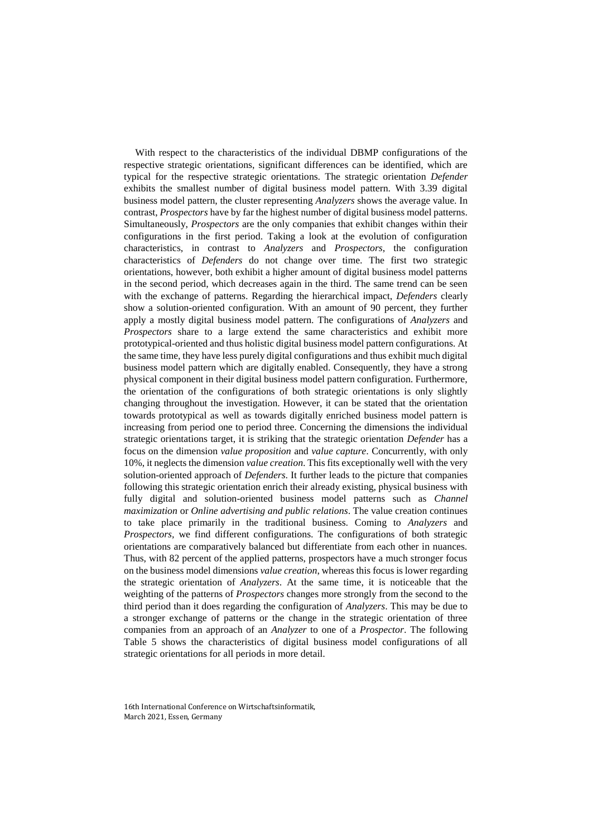With respect to the characteristics of the individual DBMP configurations of the respective strategic orientations, significant differences can be identified, which are typical for the respective strategic orientations. The strategic orientation *Defender* exhibits the smallest number of digital business model pattern. With 3.39 digital business model pattern, the cluster representing *Analyzers* shows the average value. In contrast, *Prospectors* have by far the highest number of digital business model patterns. Simultaneously, *Prospectors* are the only companies that exhibit changes within their configurations in the first period. Taking a look at the evolution of configuration characteristics, in contrast to *Analyzers* and *Prospectors*, the configuration characteristics of *Defenders* do not change over time. The first two strategic orientations, however, both exhibit a higher amount of digital business model patterns in the second period, which decreases again in the third. The same trend can be seen with the exchange of patterns. Regarding the hierarchical impact, *Defenders* clearly show a solution-oriented configuration. With an amount of 90 percent, they further apply a mostly digital business model pattern. The configurations of *Analyzers* and *Prospectors* share to a large extend the same characteristics and exhibit more prototypical-oriented and thus holistic digital business model pattern configurations. At the same time, they have less purely digital configurations and thus exhibit much digital business model pattern which are digitally enabled. Consequently, they have a strong physical component in their digital business model pattern configuration. Furthermore, the orientation of the configurations of both strategic orientations is only slightly changing throughout the investigation. However, it can be stated that the orientation towards prototypical as well as towards digitally enriched business model pattern is increasing from period one to period three. Concerning the dimensions the individual strategic orientations target, it is striking that the strategic orientation *Defender* has a focus on the dimension *value proposition* and *value capture*. Concurrently, with only 10%, it neglects the dimension *value creation*. This fits exceptionally well with the very solution-oriented approach of *Defenders*. It further leads to the picture that companies following this strategic orientation enrich their already existing, physical business with fully digital and solution-oriented business model patterns such as *Channel maximization* or *Online advertising and public relations*. The value creation continues to take place primarily in the traditional business. Coming to *Analyzers* and *Prospectors,* we find different configurations. The configurations of both strategic orientations are comparatively balanced but differentiate from each other in nuances. Thus, with 82 percent of the applied patterns, prospectors have a much stronger focus on the business model dimensions *value creation*, whereas this focus is lower regarding the strategic orientation of *Analyzers*. At the same time, it is noticeable that the weighting of the patterns of *Prospectors* changes more strongly from the second to the third period than it does regarding the configuration of *Analyzers*. This may be due to a stronger exchange of patterns or the change in the strategic orientation of three companies from an approach of an *Analyzer* to one of a *Prospector*. The following Table 5 shows the characteristics of digital business model configurations of all strategic orientations for all periods in more detail.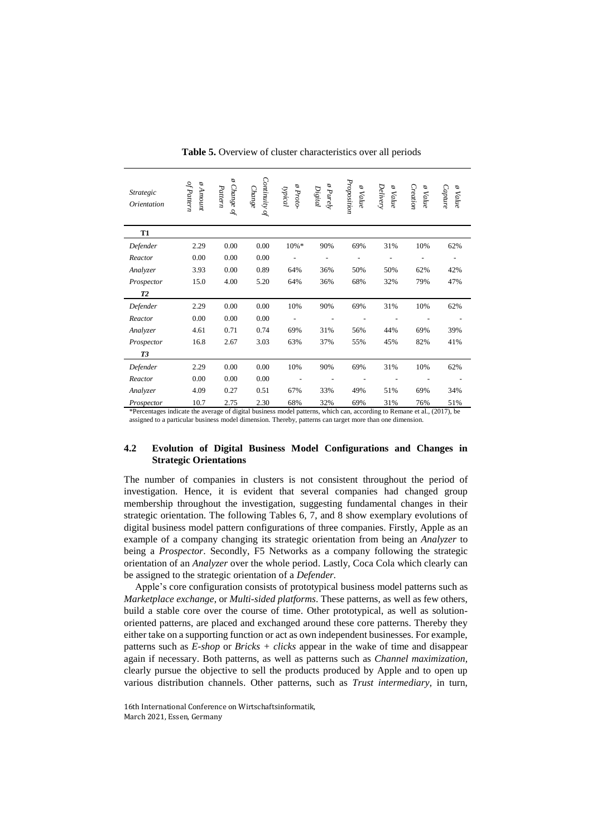| Strategic<br><i>Orientation</i> | $of$ Pattern<br>$\phi$ Anount | ø<br>Change of<br>Pattern | Continuity of<br>Change | $\phi$ Proto-<br>$by\!$ | $\phi$ Purely<br>$\it Digital$ | Proposition<br>ø<br>Value | Delivery<br>ø<br>Value   | Creation<br>ø<br>Value | Capture<br>Value |
|---------------------------------|-------------------------------|---------------------------|-------------------------|-------------------------|--------------------------------|---------------------------|--------------------------|------------------------|------------------|
| <b>T1</b>                       |                               |                           |                         |                         |                                |                           |                          |                        |                  |
| Defender                        | 2.29                          | 0.00                      | 0.00                    | $10\% *$                | 90%                            | 69%                       | 31%                      | 10%                    | 62%              |
| Reactor                         | 0.00                          | 0.00                      | 0.00                    |                         | $\overline{\phantom{a}}$       | $\overline{\phantom{a}}$  | $\overline{\phantom{0}}$ |                        |                  |
| Analyzer                        | 3.93                          | 0.00                      | 0.89                    | 64%                     | 36%                            | 50%                       | 50%                      | 62%                    | 42%              |
| Prospector                      | 15.0                          | 4.00                      | 5.20                    | 64%                     | 36%                            | 68%                       | 32%                      | 79%                    | 47%              |
| T2                              |                               |                           |                         |                         |                                |                           |                          |                        |                  |
| Defender                        | 2.29                          | 0.00                      | 0.00                    | 10%                     | 90%                            | 69%                       | 31%                      | 10%                    | 62%              |
| Reactor                         | 0.00                          | 0.00                      | 0.00                    |                         |                                |                           |                          |                        |                  |
| Analyzer                        | 4.61                          | 0.71                      | 0.74                    | 69%                     | 31%                            | 56%                       | 44%                      | 69%                    | 39%              |
| Prospector                      | 16.8                          | 2.67                      | 3.03                    | 63%                     | 37%                            | 55%                       | 45%                      | 82%                    | 41%              |
| T3                              |                               |                           |                         |                         |                                |                           |                          |                        |                  |
| Defender                        | 2.29                          | 0.00                      | 0.00                    | 10%                     | 90%                            | 69%                       | 31%                      | 10%                    | 62%              |
| Reactor                         | 0.00                          | 0.00                      | 0.00                    |                         |                                |                           |                          |                        |                  |
| Analyzer                        | 4.09                          | 0.27                      | 0.51                    | 67%                     | 33%                            | 49%                       | 51%                      | 69%                    | 34%              |
| Prospector                      | 10.7                          | 2.75                      | 2.30                    | 68%                     | 32%                            | 69%                       | 31%                      | 76%                    | 51%              |

**Table 5.** Overview of cluster characteristics over all periods

\*Percentages indicate the average of digital business model patterns, which can, according to Remane et al., (2017), be assigned to a particular business model dimension. Thereby, patterns can target more than one dimension.

#### **4.2 Evolution of Digital Business Model Configurations and Changes in Strategic Orientations**

The number of companies in clusters is not consistent throughout the period of investigation. Hence, it is evident that several companies had changed group membership throughout the investigation, suggesting fundamental changes in their strategic orientation. The following Tables 6, 7, and 8 show exemplary evolutions of digital business model pattern configurations of three companies. Firstly, Apple as an example of a company changing its strategic orientation from being an *Analyzer* to being a *Prospector*. Secondly, F5 Networks as a company following the strategic orientation of an *Analyzer* over the whole period. Lastly, Coca Cola which clearly can be assigned to the strategic orientation of a *Defender.*

Apple's core configuration consists of prototypical business model patterns such as *Marketplace exchange*, or *Multi-sided platforms*. These patterns, as well as few others, build a stable core over the course of time. Other prototypical, as well as solutionoriented patterns, are placed and exchanged around these core patterns. Thereby they either take on a supporting function or act as own independent businesses. For example, patterns such as *E-shop* or *Bricks + clicks* appear in the wake of time and disappear again if necessary. Both patterns, as well as patterns such as *Channel maximization,* clearly pursue the objective to sell the products produced by Apple and to open up various distribution channels. Other patterns, such as *Trust intermediary,* in turn,

<sup>16</sup>th International Conference on Wirtschaftsinformatik, March 2021, Essen, Germany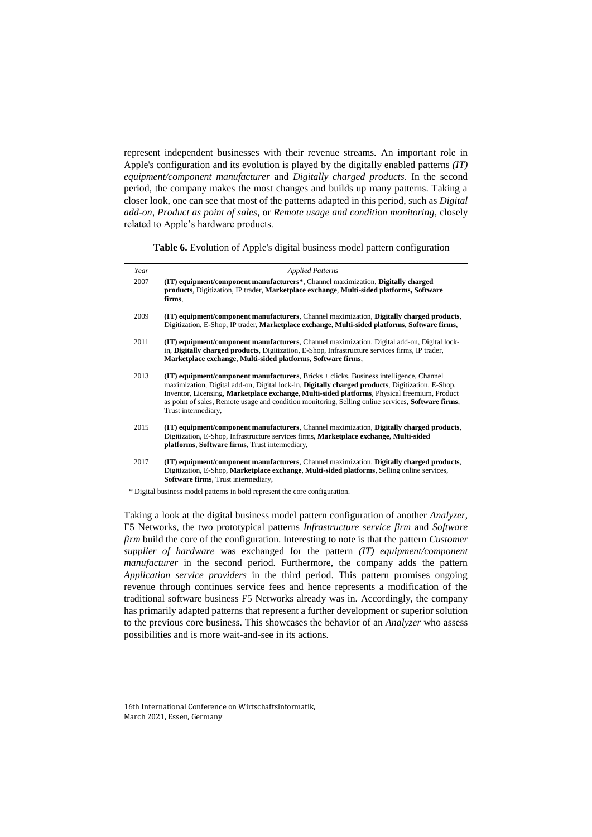represent independent businesses with their revenue streams. An important role in Apple's configuration and its evolution is played by the digitally enabled patterns *(IT) equipment/component manufacturer* and *Digitally charged products*. In the second period, the company makes the most changes and builds up many patterns. Taking a closer look, one can see that most of the patterns adapted in this period, such as *Digital add-on*, *Product as point of sales*, or *Remote usage and condition monitoring*, closely related to Apple's hardware products.

**Table 6.** Evolution of Apple's digital business model pattern configuration

| Year | <b>Applied Patterns</b>                                                                                                                                                                                                                                                                                                                                                                                                         |
|------|---------------------------------------------------------------------------------------------------------------------------------------------------------------------------------------------------------------------------------------------------------------------------------------------------------------------------------------------------------------------------------------------------------------------------------|
| 2007 | <b>(IT) equipment/component manufacturers*, Channel maximization, Digitally charged</b><br>products, Digitization, IP trader, Marketplace exchange, Multi-sided platforms, Software<br>firms,                                                                                                                                                                                                                                   |
| 2009 | (IT) equipment/component manufacturers, Channel maximization, Digitally charged products,<br>Digitization, E-Shop, IP trader, Marketplace exchange, Multi-sided platforms, Software firms,                                                                                                                                                                                                                                      |
| 2011 | <b>(IT) equipment/component manufacturers, Channel maximization, Digital add-on, Digital lock-</b><br>in, Digitally charged products, Digitization, E-Shop, Infrastructure services firms, IP trader,<br>Marketplace exchange, Multi-sided platforms, Software firms,                                                                                                                                                           |
| 2013 | <b>(IT) equipment/component manufacturers, Bricks + clicks, Business intelligence, Channel</b><br>maximization, Digital add-on, Digital lock-in, Digitally charged products, Digitization, E-Shop,<br>Inventor, Licensing, Marketplace exchange, Multi-sided platforms, Physical freemium, Product<br>as point of sales, Remote usage and condition monitoring, Selling online services, Software firms,<br>Trust intermediary, |
| 2015 | <b>(IT)</b> equipment/component manufacturers, Channel maximization, Digitally charged products,<br>Digitization, E-Shop, Infrastructure services firms, Marketplace exchange, Multi-sided<br>platforms, Software firms, Trust intermediary,                                                                                                                                                                                    |
| 2017 | <b>(IT)</b> equipment/component manufacturers, Channel maximization, Digitally charged products,<br>Digitization, E-Shop, Marketplace exchange, Multi-sided platforms, Selling online services,<br>Software firms, Trust intermediary,                                                                                                                                                                                          |

\* Digital business model patterns in bold represent the core configuration.

Taking a look at the digital business model pattern configuration of another *Analyzer*, F5 Networks, the two prototypical patterns *Infrastructure service firm* and *Software firm* build the core of the configuration. Interesting to note is that the pattern *Customer supplier of hardware* was exchanged for the pattern *(IT) equipment/component manufacturer* in the second period. Furthermore, the company adds the pattern *Application service providers* in the third period. This pattern promises ongoing revenue through continues service fees and hence represents a modification of the traditional software business F5 Networks already was in. Accordingly, the company has primarily adapted patterns that represent a further development or superior solution to the previous core business. This showcases the behavior of an *Analyzer* who assess possibilities and is more wait-and-see in its actions.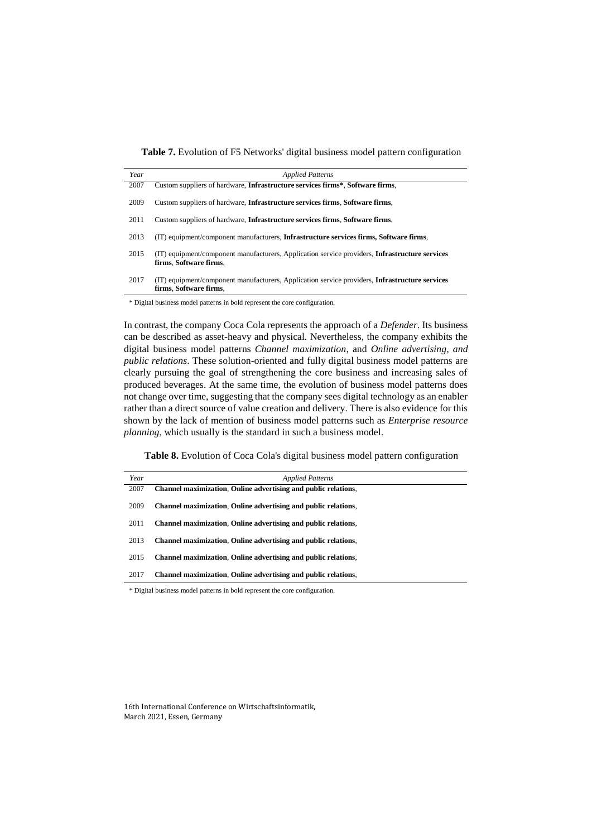**Table 7.** Evolution of F5 Networks' digital business model pattern configuration

| Year | <b>Applied Patterns</b>                                                                                                  |
|------|--------------------------------------------------------------------------------------------------------------------------|
| 2007 | Custom suppliers of hardware, Infrastructure services firms*, Software firms,                                            |
| 2009 | Custom suppliers of hardware, Infrastructure services firms, Software firms,                                             |
| 2011 | Custom suppliers of hardware, Infrastructure services firms, Software firms,                                             |
| 2013 | (IT) equipment/component manufacturers, <b>Infrastructure services firms, Software firms</b> ,                           |
| 2015 | (IT) equipment/component manufacturers, Application service providers, Infrastructure services<br>firms, Software firms, |
| 2017 | (IT) equipment/component manufacturers, Application service providers, Infrastructure services<br>firms. Software firms. |
|      |                                                                                                                          |

\* Digital business model patterns in bold represent the core configuration.

In contrast, the company Coca Cola represents the approach of a *Defender*. Its business can be described as asset-heavy and physical. Nevertheless, the company exhibits the digital business model patterns *Channel maximization,* and *Online advertising, and public relations*. These solution-oriented and fully digital business model patterns are clearly pursuing the goal of strengthening the core business and increasing sales of produced beverages. At the same time, the evolution of business model patterns does not change over time, suggesting that the company sees digital technology as an enabler rather than a direct source of value creation and delivery. There is also evidence for this shown by the lack of mention of business model patterns such as *Enterprise resource planning*, which usually is the standard in such a business model.

**Table 8.** Evolution of Coca Cola's digital business model pattern configuration

| Year | <b>Applied Patterns</b>                                        |
|------|----------------------------------------------------------------|
| 2007 | Channel maximization, Online advertising and public relations, |
| 2009 | Channel maximization, Online advertising and public relations, |
| 2011 | Channel maximization, Online advertising and public relations, |
| 2013 | Channel maximization, Online advertising and public relations, |
| 2015 | Channel maximization, Online advertising and public relations, |
| 2017 | Channel maximization, Online advertising and public relations, |
|      |                                                                |

\* Digital business model patterns in bold represent the core configuration.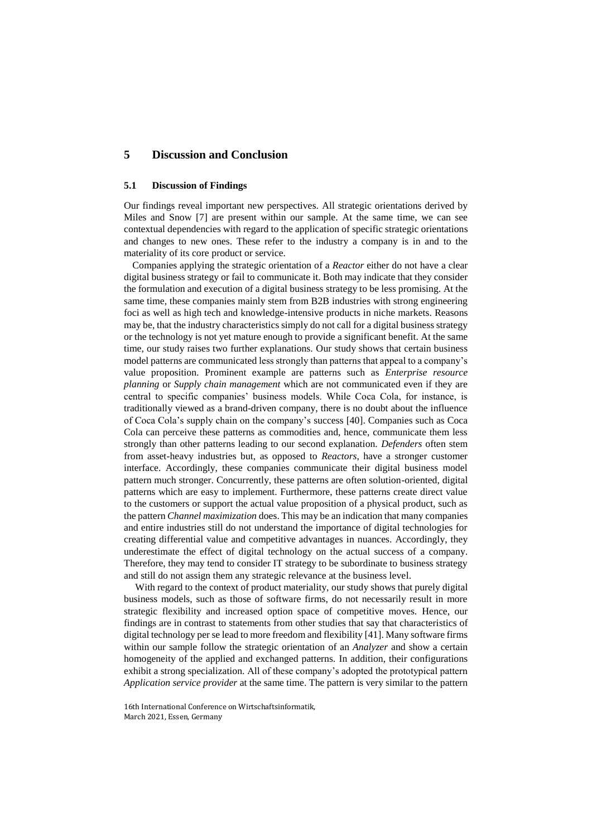# **5 Discussion and Conclusion**

#### **5.1 Discussion of Findings**

Our findings reveal important new perspectives. All strategic orientations derived by Miles and Snow [7] are present within our sample. At the same time, we can see contextual dependencies with regard to the application of specific strategic orientations and changes to new ones. These refer to the industry a company is in and to the materiality of its core product or service.

Companies applying the strategic orientation of a *Reactor* either do not have a clear digital business strategy or fail to communicate it. Both may indicate that they consider the formulation and execution of a digital business strategy to be less promising. At the same time, these companies mainly stem from B2B industries with strong engineering foci as well as high tech and knowledge-intensive products in niche markets. Reasons may be, that the industry characteristics simply do not call for a digital business strategy or the technology is not yet mature enough to provide a significant benefit. At the same time, our study raises two further explanations. Our study shows that certain business model patterns are communicated less strongly than patterns that appeal to a company's value proposition. Prominent example are patterns such as *Enterprise resource planning* or *Supply chain management* which are not communicated even if they are central to specific companies' business models. While Coca Cola, for instance, is traditionally viewed as a brand-driven company, there is no doubt about the influence of Coca Cola's supply chain on the company's success [40]. Companies such as Coca Cola can perceive these patterns as commodities and, hence, communicate them less strongly than other patterns leading to our second explanation. *Defenders* often stem from asset-heavy industries but, as opposed to *Reactors*, have a stronger customer interface. Accordingly, these companies communicate their digital business model pattern much stronger. Concurrently, these patterns are often solution-oriented, digital patterns which are easy to implement. Furthermore, these patterns create direct value to the customers or support the actual value proposition of a physical product, such as the pattern *Channel maximization* does. This may be an indication that many companies and entire industries still do not understand the importance of digital technologies for creating differential value and competitive advantages in nuances. Accordingly, they underestimate the effect of digital technology on the actual success of a company. Therefore, they may tend to consider IT strategy to be subordinate to business strategy and still do not assign them any strategic relevance at the business level.

With regard to the context of product materiality, our study shows that purely digital business models, such as those of software firms, do not necessarily result in more strategic flexibility and increased option space of competitive moves. Hence, our findings are in contrast to statements from other studies that say that characteristics of digital technology per se lead to more freedom and flexibility [41]. Many software firms within our sample follow the strategic orientation of an *Analyzer* and show a certain homogeneity of the applied and exchanged patterns. In addition, their configurations exhibit a strong specialization. All of these company's adopted the prototypical pattern *Application service provider* at the same time. The pattern is very similar to the pattern

<sup>16</sup>th International Conference on Wirtschaftsinformatik, March 2021, Essen, Germany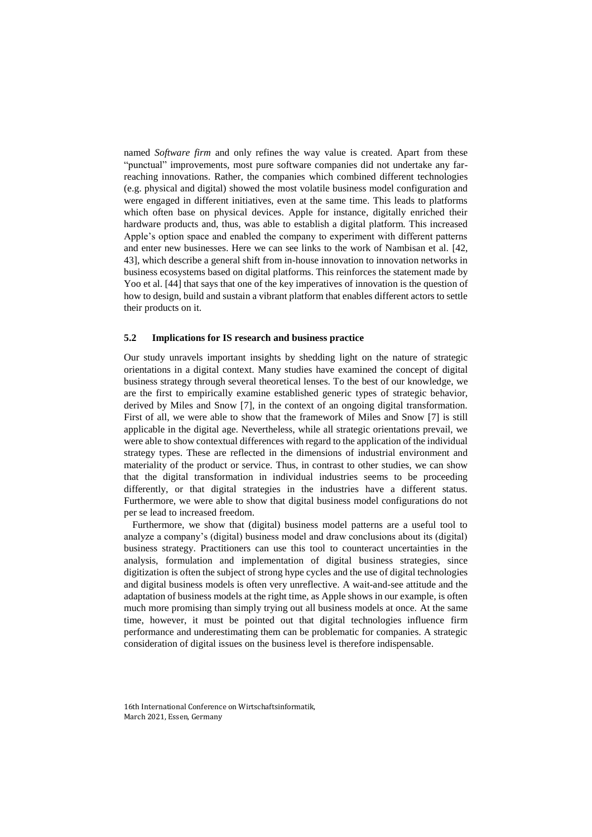named *Software firm* and only refines the way value is created. Apart from these "punctual" improvements, most pure software companies did not undertake any farreaching innovations. Rather, the companies which combined different technologies (e.g. physical and digital) showed the most volatile business model configuration and were engaged in different initiatives, even at the same time. This leads to platforms which often base on physical devices. Apple for instance, digitally enriched their hardware products and, thus, was able to establish a digital platform. This increased Apple's option space and enabled the company to experiment with different patterns and enter new businesses. Here we can see links to the work of Nambisan et al. [42, 43], which describe a general shift from in-house innovation to innovation networks in business ecosystems based on digital platforms. This reinforces the statement made by Yoo et al. [44] that says that one of the key imperatives of innovation is the question of how to design, build and sustain a vibrant platform that enables different actors to settle their products on it.

#### **5.2 Implications for IS research and business practice**

Our study unravels important insights by shedding light on the nature of strategic orientations in a digital context. Many studies have examined the concept of digital business strategy through several theoretical lenses. To the best of our knowledge, we are the first to empirically examine established generic types of strategic behavior, derived by Miles and Snow [7], in the context of an ongoing digital transformation. First of all, we were able to show that the framework of Miles and Snow [7] is still applicable in the digital age. Nevertheless, while all strategic orientations prevail, we were able to show contextual differences with regard to the application of the individual strategy types. These are reflected in the dimensions of industrial environment and materiality of the product or service. Thus, in contrast to other studies, we can show that the digital transformation in individual industries seems to be proceeding differently, or that digital strategies in the industries have a different status. Furthermore, we were able to show that digital business model configurations do not per se lead to increased freedom.

Furthermore, we show that (digital) business model patterns are a useful tool to analyze a company's (digital) business model and draw conclusions about its (digital) business strategy. Practitioners can use this tool to counteract uncertainties in the analysis, formulation and implementation of digital business strategies, since digitization is often the subject of strong hype cycles and the use of digital technologies and digital business models is often very unreflective. A wait-and-see attitude and the adaptation of business models at the right time, as Apple shows in our example, is often much more promising than simply trying out all business models at once. At the same time, however, it must be pointed out that digital technologies influence firm performance and underestimating them can be problematic for companies. A strategic consideration of digital issues on the business level is therefore indispensable.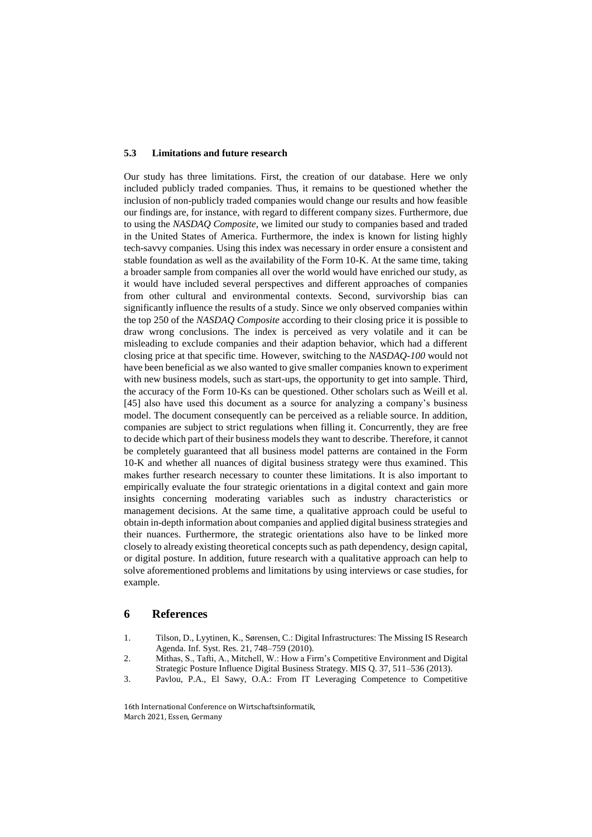#### **5.3 Limitations and future research**

Our study has three limitations. First, the creation of our database. Here we only included publicly traded companies. Thus, it remains to be questioned whether the inclusion of non-publicly traded companies would change our results and how feasible our findings are, for instance, with regard to different company sizes. Furthermore, due to using the *NASDAQ Composite,* we limited our study to companies based and traded in the United States of America. Furthermore, the index is known for listing highly tech-savvy companies. Using this index was necessary in order ensure a consistent and stable foundation as well as the availability of the Form 10-K. At the same time, taking a broader sample from companies all over the world would have enriched our study, as it would have included several perspectives and different approaches of companies from other cultural and environmental contexts. Second, survivorship bias can significantly influence the results of a study. Since we only observed companies within the top 250 of the *NASDAQ Composite* according to their closing price it is possible to draw wrong conclusions. The index is perceived as very volatile and it can be misleading to exclude companies and their adaption behavior, which had a different closing price at that specific time. However, switching to the *NASDAQ-100* would not have been beneficial as we also wanted to give smaller companies known to experiment with new business models, such as start-ups, the opportunity to get into sample. Third, the accuracy of the Form 10-Ks can be questioned. Other scholars such as Weill et al. [45] also have used this document as a source for analyzing a company's business model. The document consequently can be perceived as a reliable source. In addition, companies are subject to strict regulations when filling it. Concurrently, they are free to decide which part of their business models they want to describe. Therefore, it cannot be completely guaranteed that all business model patterns are contained in the Form 10-K and whether all nuances of digital business strategy were thus examined. This makes further research necessary to counter these limitations. It is also important to empirically evaluate the four strategic orientations in a digital context and gain more insights concerning moderating variables such as industry characteristics or management decisions. At the same time, a qualitative approach could be useful to obtain in-depth information about companies and applied digital business strategies and their nuances. Furthermore, the strategic orientations also have to be linked more closely to already existing theoretical concepts such as path dependency, design capital, or digital posture. In addition, future research with a qualitative approach can help to solve aforementioned problems and limitations by using interviews or case studies, for example.

### **6 References**

- 1. Tilson, D., Lyytinen, K., Sørensen, C.: Digital Infrastructures: The Missing IS Research Agenda. Inf. Syst. Res. 21, 748–759 (2010).
- 2. Mithas, S., Tafti, A., Mitchell, W.: How a Firm's Competitive Environment and Digital Strategic Posture Influence Digital Business Strategy. MIS Q. 37, 511–536 (2013).
- 3. Pavlou, P.A., El Sawy, O.A.: From IT Leveraging Competence to Competitive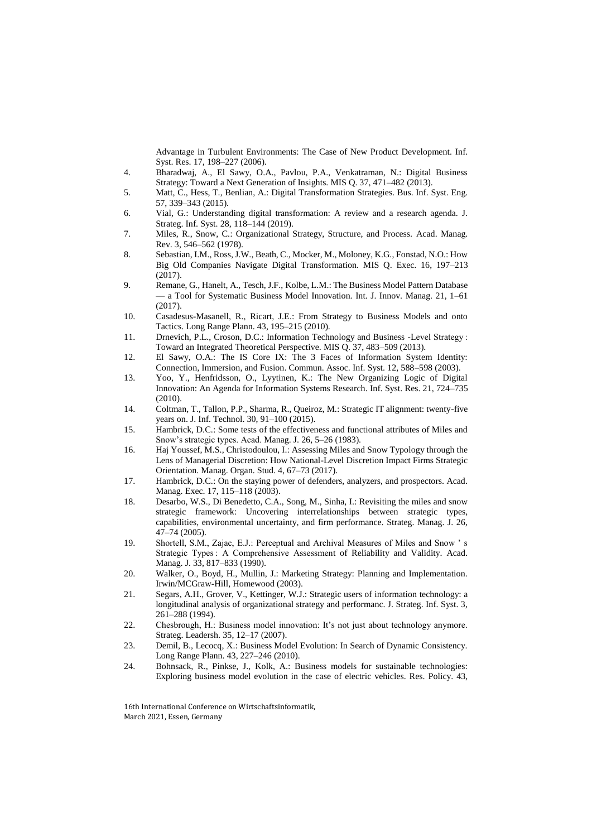Advantage in Turbulent Environments: The Case of New Product Development. Inf. Syst. Res. 17, 198–227 (2006).

- 4. Bharadwaj, A., El Sawy, O.A., Pavlou, P.A., Venkatraman, N.: Digital Business Strategy: Toward a Next Generation of Insights. MIS Q. 37, 471–482 (2013).
- 5. Matt, C., Hess, T., Benlian, A.: Digital Transformation Strategies. Bus. Inf. Syst. Eng. 57, 339–343 (2015).
- 6. Vial, G.: Understanding digital transformation: A review and a research agenda. J. Strateg. Inf. Syst. 28, 118–144 (2019).
- 7. Miles, R., Snow, C.: Organizational Strategy, Structure, and Process. Acad. Manag. Rev. 3, 546–562 (1978).
- 8. Sebastian, I.M., Ross, J.W., Beath, C., Mocker, M., Moloney, K.G., Fonstad, N.O.: How Big Old Companies Navigate Digital Transformation. MIS Q. Exec. 16, 197–213 (2017).
- 9. Remane, G., Hanelt, A., Tesch, J.F., Kolbe, L.M.: The Business Model Pattern Database — a Tool for Systematic Business Model Innovation. Int. J. Innov. Manag. 21, 1–61 (2017).
- 10. Casadesus-Masanell, R., Ricart, J.E.: From Strategy to Business Models and onto Tactics. Long Range Plann. 43, 195–215 (2010).
- 11. Drnevich, P.L., Croson, D.C.: Information Technology and Business -Level Strategy : Toward an Integrated Theoretical Perspective. MIS Q. 37, 483–509 (2013).
- 12. El Sawy, O.A.: The IS Core IX: The 3 Faces of Information System Identity: Connection, Immersion, and Fusion. Commun. Assoc. Inf. Syst. 12, 588–598 (2003).
- 13. Yoo, Y., Henfridsson, O., Lyytinen, K.: The New Organizing Logic of Digital Innovation: An Agenda for Information Systems Research. Inf. Syst. Res. 21, 724–735 (2010).
- 14. Coltman, T., Tallon, P.P., Sharma, R., Queiroz, M.: Strategic IT alignment: twenty-five years on. J. Inf. Technol. 30, 91–100 (2015).
- 15. Hambrick, D.C.: Some tests of the effectiveness and functional attributes of Miles and Snow's strategic types. Acad. Manag. J. 26, 5–26 (1983).
- 16. Haj Youssef, M.S., Christodoulou, I.: Assessing Miles and Snow Typology through the Lens of Managerial Discretion: How National-Level Discretion Impact Firms Strategic Orientation. Manag. Organ. Stud. 4, 67–73 (2017).
- 17. Hambrick, D.C.: On the staying power of defenders, analyzers, and prospectors. Acad. Manag. Exec. 17, 115–118 (2003).
- 18. Desarbo, W.S., Di Benedetto, C.A., Song, M., Sinha, I.: Revisiting the miles and snow strategic framework: Uncovering interrelationships between strategic types, capabilities, environmental uncertainty, and firm performance. Strateg. Manag. J. 26, 47–74 (2005).
- 19. Shortell, S.M., Zajac, E.J.: Perceptual and Archival Measures of Miles and Snow ' s Strategic Types : A Comprehensive Assessment of Reliability and Validity. Acad. Manag. J. 33, 817–833 (1990).
- 20. Walker, O., Boyd, H., Mullin, J.: Marketing Strategy: Planning and Implementation. Irwin/MCGraw-Hill, Homewood (2003).
- 21. Segars, A.H., Grover, V., Kettinger, W.J.: Strategic users of information technology: a longitudinal analysis of organizational strategy and performanc. J. Strateg. Inf. Syst. 3, 261–288 (1994).
- 22. Chesbrough, H.: Business model innovation: It's not just about technology anymore. Strateg. Leadersh. 35, 12–17 (2007).
- 23. Demil, B., Lecocq, X.: Business Model Evolution: In Search of Dynamic Consistency. Long Range Plann. 43, 227–246 (2010).
- 24. Bohnsack, R., Pinkse, J., Kolk, A.: Business models for sustainable technologies: Exploring business model evolution in the case of electric vehicles. Res. Policy. 43,